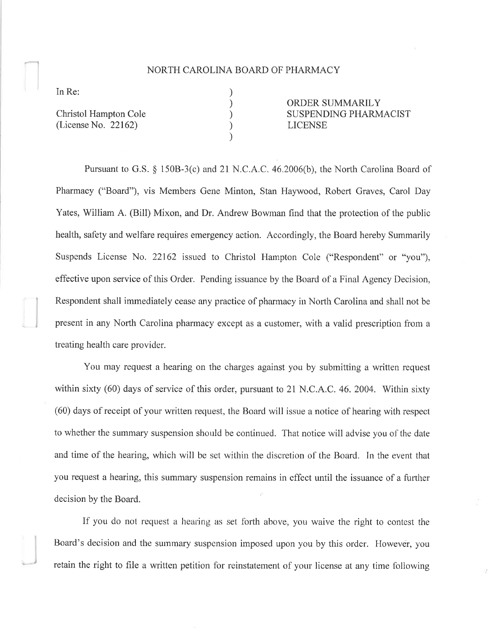## NORTH CAROLINA BOARD OF PHARMACY

) ) ) ) )

In Re:

Christol Hampton Cole (License No. 22162)

ORDER SUMMARILY SUSPENDING PHARMACIST **ICENSE** 

Pursuant to G.S. \$ l50B-3(c) and 2I N.C.A.C. 46.2006(b), the North Carolina Board of Pharmacy ("Board"), vis Members Gene Minton, Stan Haywood, Robert Graves, Carol Day Yates, William A. (Bill) Mixon, and Dr. Andrew Bowman find that the protection of the public health, safety and welfare requires emergency action. Accordingly, the Board hereby Summarily Suspends License No.22162 issued to Christol Hampton Cole ("Respondent" or "you"), effective upon service of this Order. Pending issuance by the Board of a Final Agency Decision, Respondent shall immediately cease any practice of pharmacy in North Carolina and shall not be present in any North Carolina pharmacy except as a customer, with a valid prescription from <sup>a</sup> treating health care provider.

You may request a hearing on the charges against you by submitting a written request within sixty (60) days of service of this order, pursuant to 21 N.C.A.C. 46. 2004. Within sixty (60) days of receipt of your written request, the Board will issue a notice of hearing with respect to whether the summary suspension should be continued. That notice will advise you of the date and time of the hearing, which will be set within the discretion of the Board. In the event that you request a hearing, this summary suspension remains in effect until the issuance of a funher decision by the Board.

If you do not request a hearing as set forth above, you waive the right to contest the Board's decision and the summary suspension imposed upon you by this order. However, you retain the right to file a written petition for reinstatement of your license at any time following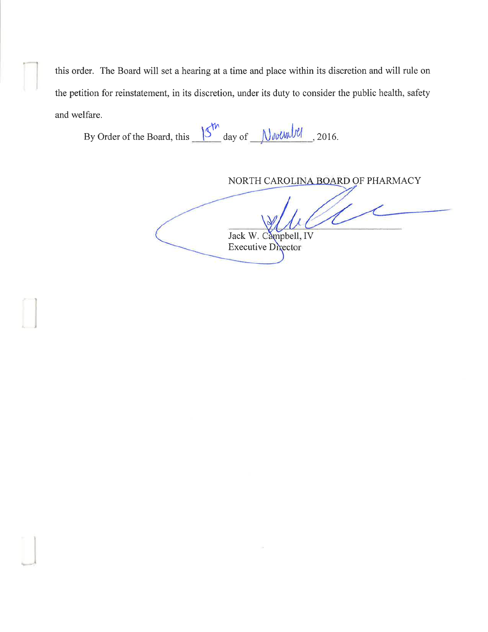this order. The Board will set a hearing at a time and place within its discretion and will rule on the petition for reinstatement, in its discretion, under its duty to consider the public health, safety and welfare.

By Order of the Board, this  $\frac{15^{11} \text{ day of}}{11}$  M we when  $\frac{1}{2016}$ .

NORTH CAROLINA BOARD OF PHARMACY

Jack W. Campbell, IV **Executive Director**